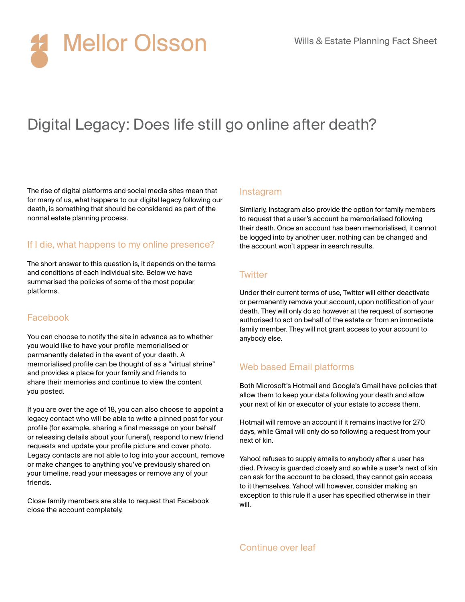

# Digital Legacy: Does life still go online after death?

The rise of digital platforms and social media sites mean that for many of us, what happens to our digital legacy following our death, is something that should be considered as part of the normal estate planning process.

# If I die, what happens to my online presence?

The short answer to this question is, it depends on the terms and conditions of each individual site. Below we have summarised the policies of some of the most popular platforms.

## Facebook

You can choose to notify the site in advance as to whether you would like to have your profile memorialised or permanently deleted in the event of your death. A memorialised profile can be thought of as a "virtual shrine" and provides a place for your family and friends to share their memories and continue to view the content you posted.

If you are over the age of 18, you can also choose to appoint a legacy contact who will be able to write a pinned post for your profile (for example, sharing a final message on your behalf or releasing details about your funeral), respond to new friend requests and update your profile picture and cover photo. Legacy contacts are not able to log into your account, remove or make changes to anything you've previously shared on your timeline, read your messages or remove any of your friends.

Close family members are able to request that Facebook close the account completely.

#### Instagram

Similarly, Instagram also provide the option for family members to request that a user's account be memorialised following their death. Once an account has been memorialised, it cannot be logged into by another user, nothing can be changed and the account won't appear in search results.

## **Twitter**

Under their current terms of use, Twitter will either deactivate or permanently remove your account, upon notification of your death. They will only do so however at the request of someone authorised to act on behalf of the estate or from an immediate family member. They will not grant access to your account to anybody else.

# Web based Email platforms

Both Microsoft's Hotmail and Google's Gmail have policies that allow them to keep your data following your death and allow your next of kin or executor of your estate to access them.

Hotmail will remove an account if it remains inactive for 270 days, while Gmail will only do so following a request from your next of kin.

Yahoo! refuses to supply emails to anybody after a user has died. Privacy is guarded closely and so while a user's next of kin can ask for the account to be closed, they cannot gain access to it themselves. Yahoo! will however, consider making an exception to this rule if a user has specified otherwise in their will.

Continue over leaf